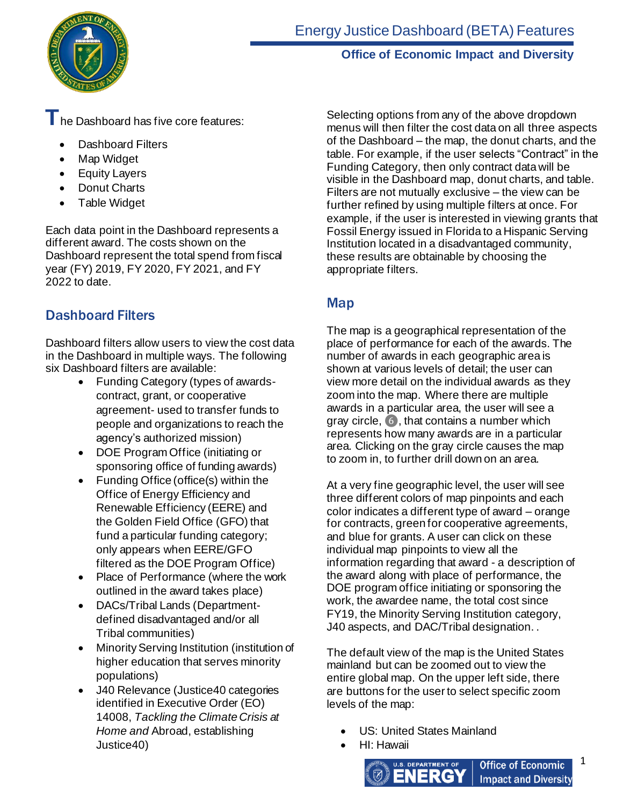

**T**he Dashboard has five core features:

- Dashboard Filters
- Map Widget
- Equity Layers
- Donut Charts
- Table Widget

Each data point in the Dashboard represents a different award. The costs shown on the Dashboard represent the total spend from fiscal year (FY) 2019, FY 2020, FY 2021, and FY 2022 to date.

## Dashboard Filters

Dashboard filters allow users to view the cost data in the Dashboard in multiple ways. The following six Dashboard filters are available:

- Funding Category (types of awardscontract, grant, or cooperative agreement- used to transfer funds to people and organizations to reach the agency's authorized mission)
- DOE Program Office (initiating or sponsoring office of funding awards)
- Funding Office (office(s) within the Office of Energy Efficiency and Renewable Efficiency (EERE) and the Golden Field Office (GFO) that fund a particular funding category; only appears when EERE/GFO filtered as the DOE Program Office)
- Place of Performance (where the work outlined in the award takes place)
- DACs/Tribal Lands (Departmentdefined disadvantaged and/or all Tribal communities)
- Minority Serving Institution (institution of higher education that serves minority populations)
- J40 Relevance (Justice40 categories identified in Executive Order (EO) 14008, *Tackling the Climate Crisis at Home and* Abroad, establishing Justice40)

Selecting options from any of the above dropdown menus will then filter the cost data on all three aspects of the Dashboard – the map, the donut charts, and the table. For example, if the user selects "Contract" in the Funding Category, then only contract data will be visible in the Dashboard map, donut charts, and table. Filters are not mutually exclusive – the view can be further refined by using multiple filters at once. For example, if the user is interested in viewing grants that Fossil Energy issued in Florida to a Hispanic Serving Institution located in a disadvantaged community, these results are obtainable by choosing the appropriate filters.

## Map

The map is a geographical representation of the place of performance for each of the awards. The number of awards in each geographic area is shown at various levels of detail; the user can view more detail on the individual awards as they zoom into the map. Where there are multiple awards in a particular area, the user will see a gray circle, ❻, that contains a number which represents how many awards are in a particular area. Clicking on the gray circle causes the map to zoom in, to further drill down on an area.

At a very fine geographic level, the user will see three different colors of map pinpoints and each color indicates a different type of award – orange for contracts, green for cooperative agreements, and blue for grants. A user can click on these individual map pinpoints to view all the information regarding that award - a description of the award along with place of performance, the DOE program office initiating or sponsoring the work, the awardee name, the total cost since FY19, the Minority Serving Institution category, J40 aspects, and DAC/Tribal designation. .

The default view of the map is the United States mainland but can be zoomed out to view the entire global map. On the upper left side, there are buttons for the user to select specific zoom levels of the map:

- US: United States Mainland
- HI: Hawaii



1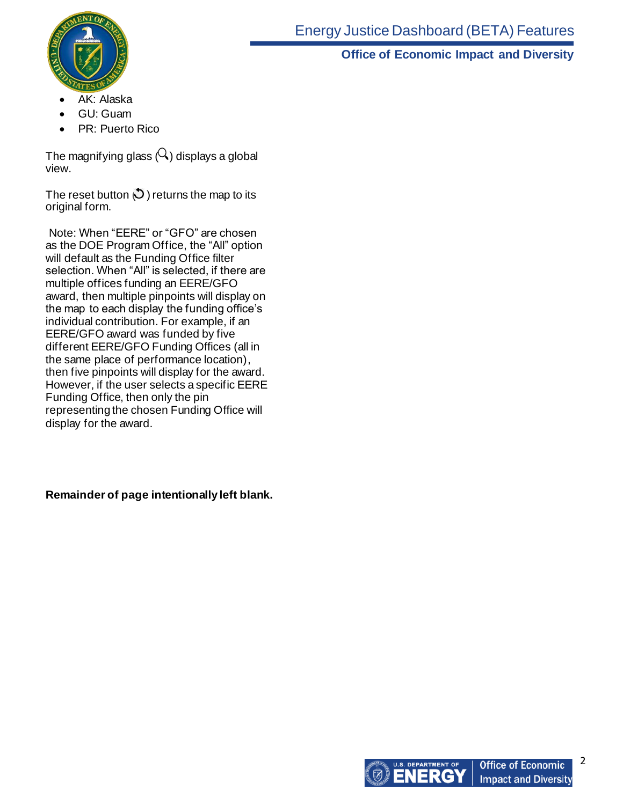

- AK: Alaska
- GU: Guam
- PR: Puerto Rico

The magnifying glass  $( Q )$  displays a global view.

The reset button  $\ddot{\circ}$ ) returns the map to its original form.

Note: When "EERE" or "GFO" are chosen as the DOE Program Office, the "All" option will default as the Funding Office filter selection. When "All" is selected, if there are multiple offices funding an EERE/GFO award, then multiple pinpoints will display on the map to each display the funding office's individual contribution. For example, if an EERE/GFO award was funded by five different EERE/GFO Funding Offices (all in the same place of performance location), then five pinpoints will display for the award. However, if the user selects a specific EERE Funding Office, then only the pin representing the chosen Funding Office will display for the award.

**Remainder of page intentionally left blank.** 

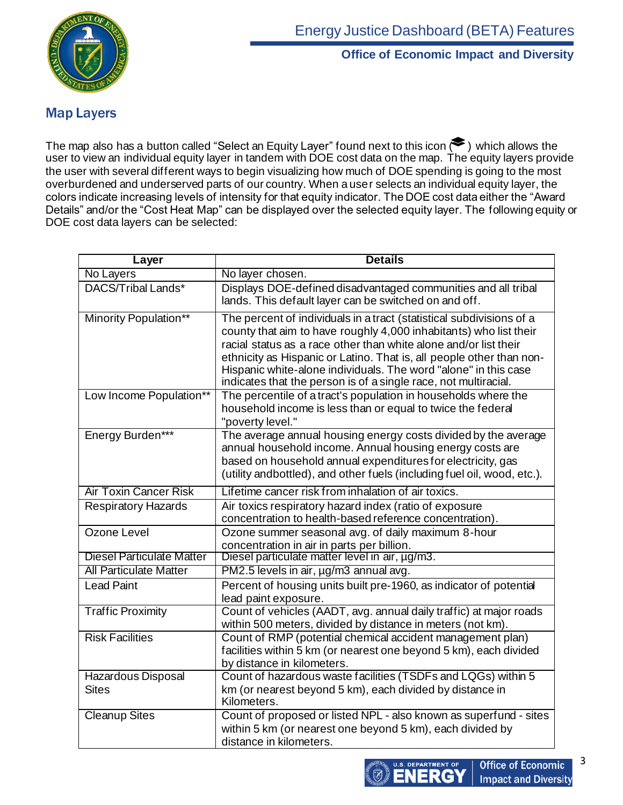

## Map Layers

The map also has a button called "Select an Equity Layer" found next to this icon  $($   $\diamondsuit$   $)$  which allows the user to view an individual equity layer in tandem with DOE cost data on the map. The equity layers provide the user with several different ways to begin visualizing how much of DOE spending is going to the most overburdened and underserved parts of our country. When a user selects an individual equity layer, the colors indicate increasing levels of intensity for that equity indicator. The DOE cost data either the "Award Details" and/or the "Cost Heat Map" can be displayed over the selected equity layer. The following equity or DOE cost data layers can be selected:

| Layer                              | <b>Details</b>                                                                                                                                                                                                                                                                                                                                                                                                              |  |
|------------------------------------|-----------------------------------------------------------------------------------------------------------------------------------------------------------------------------------------------------------------------------------------------------------------------------------------------------------------------------------------------------------------------------------------------------------------------------|--|
| No Layers                          | No layer chosen.                                                                                                                                                                                                                                                                                                                                                                                                            |  |
| DACS/Tribal Lands*                 | Displays DOE-defined disadvantaged communities and all tribal<br>lands. This default layer can be switched on and off.                                                                                                                                                                                                                                                                                                      |  |
| Minority Population**              | The percent of individuals in a tract (statistical subdivisions of a<br>county that aim to have roughly 4,000 inhabitants) who list their<br>racial status as a race other than white alone and/or list their<br>ethnicity as Hispanic or Latino. That is, all people other than non-<br>Hispanic white-alone individuals. The word "alone" in this case<br>indicates that the person is of a single race, not multiracial. |  |
| Low Income Population**            | The percentile of a tract's population in households where the<br>household income is less than or equal to twice the federal<br>"poverty level."                                                                                                                                                                                                                                                                           |  |
| Energy Burden***                   | The average annual housing energy costs divided by the average<br>annual household income. Annual housing energy costs are<br>based on household annual expenditures for electricity, gas<br>(utility andbottled), and other fuels (including fuel oil, wood, etc.).                                                                                                                                                        |  |
| <b>Air Toxin Cancer Risk</b>       | Lifetime cancer risk from inhalation of air toxics.                                                                                                                                                                                                                                                                                                                                                                         |  |
| <b>Respiratory Hazards</b>         | Air toxics respiratory hazard index (ratio of exposure<br>concentration to health-based reference concentration).                                                                                                                                                                                                                                                                                                           |  |
| Ozone Level                        | Ozone summer seasonal avg. of daily maximum 8-hour<br>concentration in air in parts per billion.                                                                                                                                                                                                                                                                                                                            |  |
| Diesel Particulate Matter          | Diesel particulate matter level in air, µg/m3.                                                                                                                                                                                                                                                                                                                                                                              |  |
| <b>All Particulate Matter</b>      | PM2.5 levels in air, µg/m3 annual avg.                                                                                                                                                                                                                                                                                                                                                                                      |  |
| <b>Lead Paint</b>                  | Percent of housing units built pre-1960, as indicator of potential<br>lead paint exposure.                                                                                                                                                                                                                                                                                                                                  |  |
| <b>Traffic Proximity</b>           | Count of vehicles (AADT, avg. annual daily traffic) at major roads<br>within 500 meters, divided by distance in meters (not km).                                                                                                                                                                                                                                                                                            |  |
| <b>Risk Facilities</b>             | Count of RMP (potential chemical accident management plan)<br>facilities within 5 km (or nearest one beyond 5 km), each divided<br>by distance in kilometers.                                                                                                                                                                                                                                                               |  |
| Hazardous Disposal<br><b>Sites</b> | Count of hazardous waste facilities (TSDFs and LQGs) within 5<br>km (or nearest beyond 5 km), each divided by distance in<br>Kilometers.                                                                                                                                                                                                                                                                                    |  |
| <b>Cleanup Sites</b>               | Count of proposed or listed NPL - also known as superfund - sites<br>within 5 km (or nearest one beyond 5 km), each divided by<br>distance in kilometers.                                                                                                                                                                                                                                                                   |  |

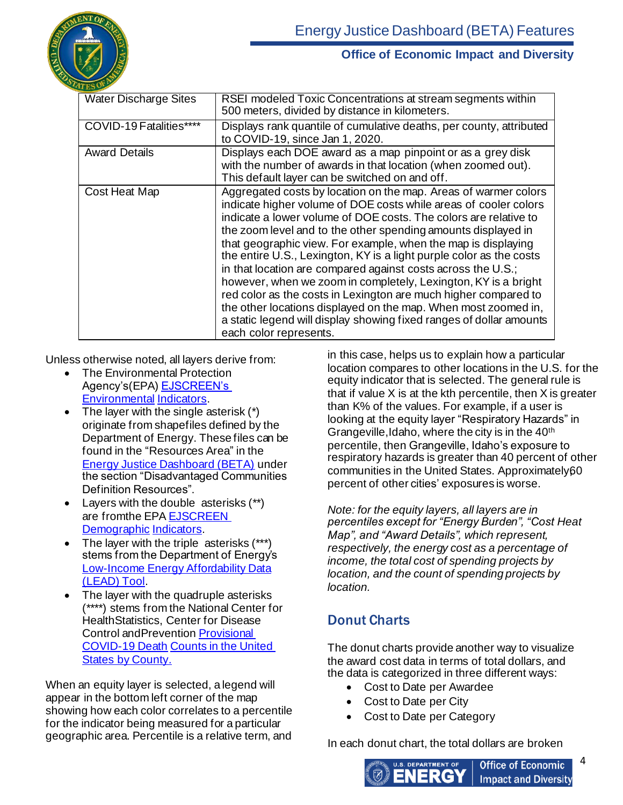

| <b>Water Discharge Sites</b> | RSEI modeled Toxic Concentrations at stream segments within<br>500 meters, divided by distance in kilometers.                                                                                                                                                                                                                                                                                                                                                                                                                                                                                                                                                                                                                                                                            |
|------------------------------|------------------------------------------------------------------------------------------------------------------------------------------------------------------------------------------------------------------------------------------------------------------------------------------------------------------------------------------------------------------------------------------------------------------------------------------------------------------------------------------------------------------------------------------------------------------------------------------------------------------------------------------------------------------------------------------------------------------------------------------------------------------------------------------|
| COVID-19 Fatalities****      | Displays rank quantile of cumulative deaths, per county, attributed<br>to COVID-19, since Jan 1, 2020.                                                                                                                                                                                                                                                                                                                                                                                                                                                                                                                                                                                                                                                                                   |
| <b>Award Details</b>         | Displays each DOE award as a map pinpoint or as a grey disk<br>with the number of awards in that location (when zoomed out).<br>This default layer can be switched on and off.                                                                                                                                                                                                                                                                                                                                                                                                                                                                                                                                                                                                           |
| Cost Heat Map                | Aggregated costs by location on the map. Areas of warmer colors<br>indicate higher volume of DOE costs while areas of cooler colors<br>indicate a lower volume of DOE costs. The colors are relative to<br>the zoom level and to the other spending amounts displayed in<br>that geographic view. For example, when the map is displaying<br>the entire U.S., Lexington, KY is a light purple color as the costs<br>in that location are compared against costs across the U.S.;<br>however, when we zoom in completely, Lexington, KY is a bright<br>red color as the costs in Lexington are much higher compared to<br>the other locations displayed on the map. When most zoomed in,<br>a static legend will display showing fixed ranges of dollar amounts<br>each color represents. |

Unless otherwise noted, all layers derive from:

- The Environmental Protection Agency's(EPA) EJSCREEN's [Environmental](https://www.epa.gov/ejscreen/overview-environmental-indicators-ejscreen) [Indicators.](https://www.epa.gov/ejscreen/overview-environmental-indicators-ejscreen)
- The layer with the single asterisk  $(*)$ originate from shapefiles defined by the Department of Energy. These files can be found in the "Resources Area" in the [Energy Justice Dashboard \(BETA\)](https://www.energy.gov/diversity/energy-justice-dashboard-beta) under the section "Disadvantaged Communities Definition Resources".
- Layers with the double asterisks (\*\*) are fromthe EPA [EJSCREEN](https://www.epa.gov/ejscreen/overview-demographic-indicators-ejscreen)  [Demographic](https://www.epa.gov/ejscreen/overview-demographic-indicators-ejscreen) [Indicators.](https://www.epa.gov/ejscreen/overview-demographic-indicators-ejscreen)
- The layer with the triple asterisks (\*\*\*) stems from the Department of Energy's [Low-Income Energy Affordability Data](https://data.openei.org/submissions/573) [\(LEAD\) Tool.](https://data.openei.org/submissions/573)
- The layer with the quadruple asterisks (\*\*\*\*) stems from the National Center for HealthStatistics, Center for Disease Control andPrevention [Provisional](https://data.cdc.gov/NCHS/Provisional-COVID-19-Death-Counts-in-the-United-St/kn79-hsxy)  [COVID-19 Death](https://data.cdc.gov/NCHS/Provisional-COVID-19-Death-Counts-in-the-United-St/kn79-hsxy) [Counts](https://data.cdc.gov/NCHS/Provisional-COVID-19-Death-Counts-in-the-United-St/kn79-hsxy) in the United **States [by County.](https://data.cdc.gov/NCHS/Provisional-COVID-19-Death-Counts-in-the-United-St/kn79-hsxy)**

When an equity layer is selected, a legend will appear in the bottom left corner of the map showing how each color correlates to a percentile for the indicator being measured for a particular geographic area. Percentile is a relative term, and

in this case, helps us to explain how a particular location compares to other locations in the U.S. for the equity indicator that is selected. The general rule is that if value X is at the kth percentile, then X is greater than K% of the values. For example, if a user is looking at the equity layer "Respiratory Hazards" in Grangeville, Idaho, where the city is in the 40<sup>th</sup> percentile, then Grangeville, Idaho's exposure to respiratory hazards is greater than 40 percent of other communities in the United States. Approximately60 percent of other cities' exposures is worse.

*Note: for the equity layers, all layers are in percentiles except for "Energy Burden", "Cost Heat Map", and "Award Details", which represent, respectively, the energy cost as a percentage of income, the total cost of spending projects by location, and the count of spending projects by location.*

### Donut Charts

The donut charts provide another way to visualize the award cost data in terms of total dollars, and the data is categorized in three different ways:

- Cost to Date per Awardee
- Cost to Date per City
- Cost to Date per Category

In each donut chart, the total dollars are broken

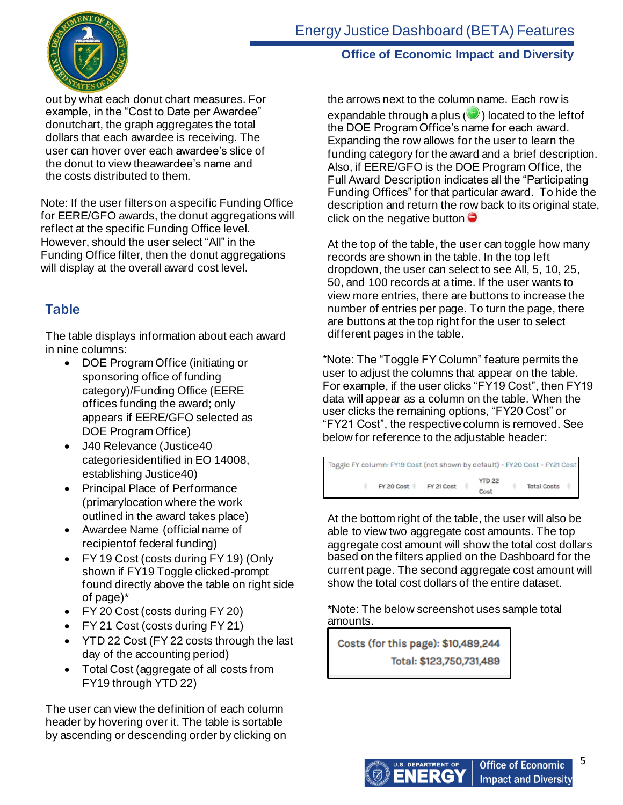

out by what each donut chart measures. For example, in the "Cost to Date per Awardee" donutchart, the graph aggregates the total dollars that each awardee is receiving. The user can hover over each awardee's slice of the donut to view theawardee's name and the costs distributed to them.

Note: If the user filters on a specific Funding Office for EERE/GFO awards, the donut aggregations will reflect at the specific Funding Office level. However, should the user select "All" in the Funding Office filter, then the donut aggregations will display at the overall award cost level.

## **Table**

The table displays information about each award in nine columns:

- DOE Program Office (initiating or sponsoring office of funding category)/Funding Office (EERE offices funding the award; only appears if EERE/GFO selected as DOE Program Office)
- J40 Relevance (Justice40 categoriesidentified in EO 14008, establishing Justice40)
- Principal Place of Performance (primarylocation where the work outlined in the award takes place)
- Awardee Name (official name of recipientof federal funding)
- FY 19 Cost (costs during FY 19) (Only shown if FY19 Toggle clicked-prompt found directly above the table on right side of page)\*
- FY 20 Cost (costs during FY 20)
- FY 21 Cost (costs during FY 21)
- YTD 22 Cost (FY 22 costs through the last day of the accounting period)
- Total Cost (aggregate of all costs from FY19 through YTD 22)

The user can view the definition of each column header by hovering over it. The table is sortable by ascending or descending order by clicking on

the arrows next to the column name. Each row is expandable through a plus  $(\bullet)$  located to the leftof the DOE Program Office's name for each award. Expanding the row allows for the user to learn the funding category for the award and a brief description. Also, if EERE/GFO is the DOE Program Office, the Full Award Description indicates all the "Participating Funding Offices" for that particular award. To hide the description and return the row back to its original state, click on the negative button  $\bullet$ 

**Office of Economic Impact and Diversity**

At the top of the table, the user can toggle how many records are shown in the table. In the top left dropdown, the user can select to see All, 5, 10, 25, 50, and 100 records at a time. If the user wants to view more entries, there are buttons to increase the number of entries per page. To turn the page, there are buttons at the top right for the user to select different pages in the table.

\*Note: The "Toggle FY Column" feature permits the user to adjust the columns that appear on the table. For example, if the user clicks "FY19 Cost", then FY19 data will appear as a column on the table. When the user clicks the remaining options, "FY20 Cost" or "FY21 Cost", the respective column is removed. See below for reference to the adjustable header:

| Toggle FY column: FY19 Cost (not shown by default) - FY20 Cost - FY21 Cost |            |                       |                    |  |
|----------------------------------------------------------------------------|------------|-----------------------|--------------------|--|
| FY 20 Cost                                                                 | FY 21 Cost | <b>YTD 22</b><br>Cost | <b>Total Costs</b> |  |

At the bottom right of the table, the user will also be able to view two aggregate cost amounts. The top aggregate cost amount will show the total cost dollars based on the filters applied on the Dashboard for the current page. The second aggregate cost amount will show the total cost dollars of the entire dataset.

\*Note: The below screenshot uses sample total amounts.

Costs (for this page): \$10,489,244 Total: \$123,750,731,489



5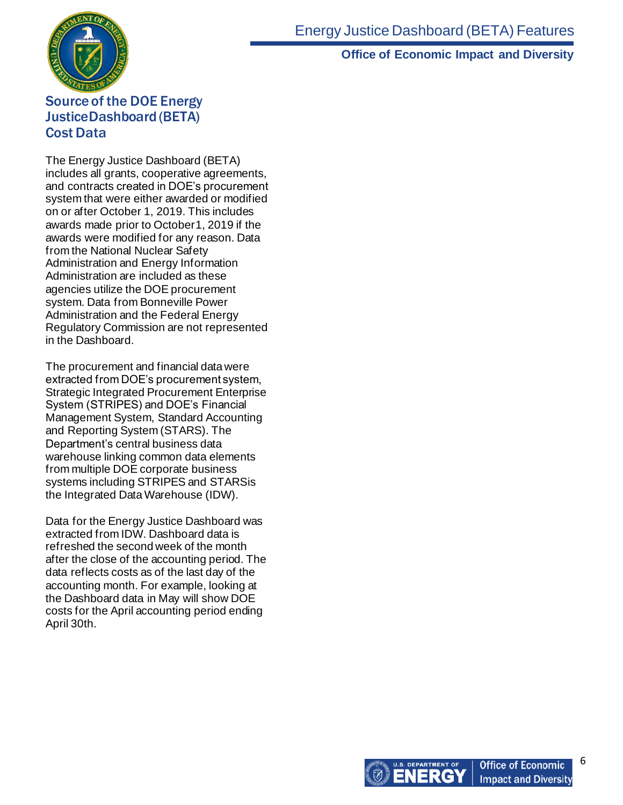

**Office of Economic Impact and Diversity**

### Source of the DOE Energy JusticeDashboard(BETA) Cost Data

The Energy Justice Dashboard (BETA) includes all grants, cooperative agreements, and contracts created in DOE's procurement system that were either awarded or modified on or after October 1, 2019. This includes awards made prior to October1, 2019 if the awards were modified for any reason. Data from the National Nuclear Safety Administration and Energy Information Administration are included as these agencies utilize the DOE procurement system. Data from Bonneville Power Administration and the Federal Energy Regulatory Commission are not represented in the Dashboard.

The procurement and financial data were extracted from DOE's procurement system, Strategic Integrated Procurement Enterprise System (STRIPES) and DOE's Financial Management System, Standard Accounting and Reporting System (STARS). The Department's central business data warehouse linking common data elements from multiple DOE corporate business systems including STRIPES and STARSis the Integrated Data Warehouse (IDW).

Data for the Energy Justice Dashboard was extracted from IDW. Dashboard data is refreshed the second week of the month after the close of the accounting period. The data reflects costs as of the last day of the accounting month. For example, looking at the Dashboard data in May will show DOE costs for the April accounting period ending April 30th.

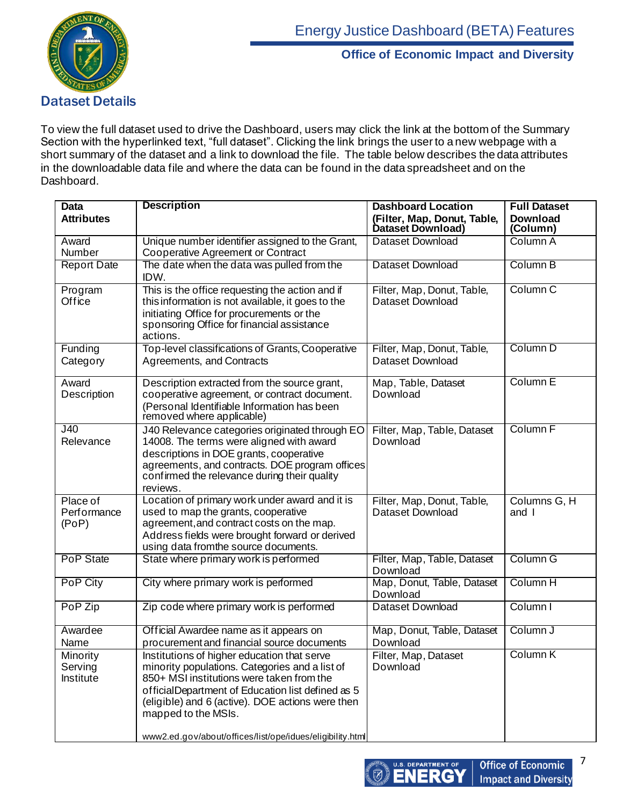

To view the full dataset used to drive the Dashboard, users may click the link at the bottom of the Summary Section with the hyperlinked text, "full dataset". Clicking the link brings the user to a new webpage with a short summary of the dataset and a link to download the file. The table below describes the data attributes in the downloadable data file and where the data can be found in the data spreadsheet and on the Dashboard.

| <b>Data</b>                      | <b>Description</b>                                                                                                                                                                                                                                                                                                                      | <b>Dashboard Location</b>                        | <b>Full Dataset</b>                          |
|----------------------------------|-----------------------------------------------------------------------------------------------------------------------------------------------------------------------------------------------------------------------------------------------------------------------------------------------------------------------------------------|--------------------------------------------------|----------------------------------------------|
| <b>Attributes</b>                |                                                                                                                                                                                                                                                                                                                                         | (Filter, Map, Donut, Table,<br>Dataset Download) | <b>Download</b><br>(Column)                  |
| Award<br>Number                  | Unique number identifier assigned to the Grant,<br>Cooperative Agreement or Contract                                                                                                                                                                                                                                                    | <b>Dataset Download</b>                          | Column A                                     |
| <b>Report Date</b>               | The date when the data was pulled from the<br>IDW.                                                                                                                                                                                                                                                                                      | <b>Dataset Download</b>                          | Column <sub>B</sub>                          |
| Program<br>Office                | This is the office requesting the action and if<br>this information is not available, it goes to the<br>initiating Office for procurements or the<br>sponsoring Office for financial assistance<br>actions.                                                                                                                             | Filter, Map, Donut, Table,<br>Dataset Download   | Column <sub>C</sub>                          |
| Funding<br>Category              | Top-level classifications of Grants, Cooperative<br>Agreements, and Contracts                                                                                                                                                                                                                                                           | Filter, Map, Donut, Table,<br>Dataset Download   | Column <sub>D</sub>                          |
| Award<br>Description             | Description extracted from the source grant,<br>cooperative agreement, or contract document.<br>(Personal Identifiable Information has been<br>removed where applicable)                                                                                                                                                                | Map, Table, Dataset<br>Download                  | Column E                                     |
| J40<br>Relevance                 | J40 Relevance categories originated through EO<br>14008. The terms were aligned with award<br>descriptions in DOE grants, cooperative<br>agreements, and contracts. DOE program offices<br>confirmed the relevance during their quality<br>reviews.                                                                                     | Filter, Map, Table, Dataset<br>Download          | Column <sub>F</sub>                          |
| Place of<br>Performance<br>(PoP) | Location of primary work under award and it is<br>used to map the grants, cooperative<br>agreement, and contract costs on the map.<br>Address fields were brought forward or derived<br>using data from the source documents.                                                                                                           | Filter, Map, Donut, Table,<br>Dataset Download   | Columns G, H<br>and $\overline{\phantom{a}}$ |
| PoP State                        | State where primary work is performed                                                                                                                                                                                                                                                                                                   | Filter, Map, Table, Dataset<br>Download          | Column G                                     |
| PoP City                         | City where primary work is performed                                                                                                                                                                                                                                                                                                    | Map, Donut, Table, Dataset<br>Download           | Column H                                     |
| PoP Zip                          | Zip code where primary work is performed                                                                                                                                                                                                                                                                                                | <b>Dataset Download</b>                          | Column I                                     |
| Awardee<br>Name                  | Official Awardee name as it appears on<br>procurement and financial source documents                                                                                                                                                                                                                                                    | Map, Donut, Table, Dataset<br>Download           | Column J                                     |
| Minority<br>Serving<br>Institute | Institutions of higher education that serve<br>minority populations. Categories and a list of<br>850+ MSI institutions were taken from the<br>officialDepartment of Education list defined as 5<br>(eligible) and 6 (active). DOE actions were then<br>mapped to the MSIs.<br>www2.ed.gov/about/offices/list/ope/idues/eligibility.html | Filter, Map, Dataset<br>Download                 | Column K                                     |



7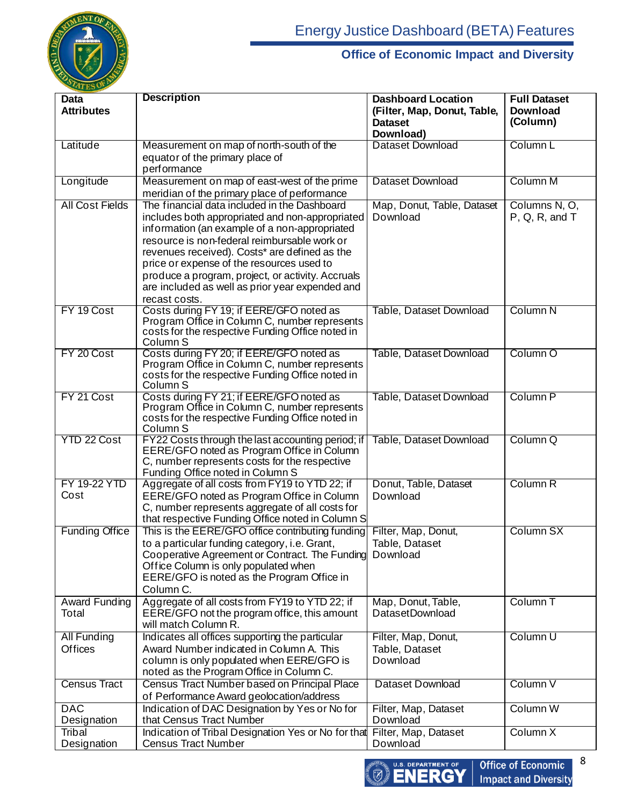

# **Office of Economic Impact and Diversity**

|                                  | <b>Description</b>                                                                                                                                                                                                                                                                                                                                                                                                      |                                                                                         |                                                    |
|----------------------------------|-------------------------------------------------------------------------------------------------------------------------------------------------------------------------------------------------------------------------------------------------------------------------------------------------------------------------------------------------------------------------------------------------------------------------|-----------------------------------------------------------------------------------------|----------------------------------------------------|
| <b>Data</b><br><b>Attributes</b> |                                                                                                                                                                                                                                                                                                                                                                                                                         | <b>Dashboard Location</b><br>(Filter, Map, Donut, Table,<br><b>Dataset</b><br>Download) | <b>Full Dataset</b><br><b>Download</b><br>(Column) |
| Latitude                         | Measurement on map of north-south of the<br>equator of the primary place of<br>performance                                                                                                                                                                                                                                                                                                                              | <b>Dataset Download</b>                                                                 | Column <sub>L</sub>                                |
| Longitude                        | Measurement on map of east-west of the prime<br>meridian of the primary place of performance                                                                                                                                                                                                                                                                                                                            | <b>Dataset Download</b>                                                                 | Column M                                           |
| <b>All Cost Fields</b>           | The financial data included in the Dashboard<br>includes both appropriated and non-appropriated<br>information (an example of a non-appropriated<br>resource is non-federal reimbursable work or<br>revenues received). Costs* are defined as the<br>price or expense of the resources used to<br>produce a program, project, or activity. Accruals<br>are included as well as prior year expended and<br>recast costs. | Map, Donut, Table, Dataset<br>Download                                                  | Columns N, O,<br>P, Q, R, and T                    |
| FY 19 Cost                       | Costs during FY 19; if EERE/GFO noted as<br>Program Office in Column C, number represents<br>costs for the respective Funding Office noted in<br>Column <sub>S</sub>                                                                                                                                                                                                                                                    | Table, Dataset Download                                                                 | Column <sub>N</sub>                                |
| FY 20 Cost                       | Costs during FY 20; if EERE/GFO noted as<br>Program Office in Column C, number represents<br>costs for the respective Funding Office noted in<br>Column <sub>S</sub>                                                                                                                                                                                                                                                    | Table, Dataset Download                                                                 | Column <sub>O</sub>                                |
| FY 21 Cost                       | Costs during FY 21; if EERE/GFO noted as<br>Program Office in Column C, number represents<br>costs for the respective Funding Office noted in<br>Column <sub>S</sub>                                                                                                                                                                                                                                                    | Table, Dataset Download                                                                 | Column <sub>P</sub>                                |
| YTD 22 Cost                      | FY22 Costs through the last accounting period; if<br>EERE/GFO noted as Program Office in Column<br>C, number represents costs for the respective<br>Funding Office noted in Column S                                                                                                                                                                                                                                    | Table, Dataset Download                                                                 | Column Q                                           |
| FY 19-22 YTD<br>Cost             | Aggregate of all costs from FY19 to YTD 22; if<br>EERE/GFO noted as Program Office in Column<br>C, number represents aggregate of all costs for<br>that respective Funding Office noted in Column S                                                                                                                                                                                                                     | Donut, Table, Dataset<br>Download                                                       | Column <sub>R</sub>                                |
| <b>Funding Office</b>            | This is the EERE/GFO office contributing funding<br>to a particular funding category, i.e. Grant,<br>Cooperative Agreement or Contract. The Funding<br>Office Column is only populated when<br>EERE/GFO is noted as the Program Office in<br>Column <sub>C.</sub>                                                                                                                                                       | Filter, Map, Donut,<br>Table, Dataset<br>Download                                       | Column SX                                          |
| Award Funding<br>Total           | Aggregate of all costs from FY19 to YTD 22; if<br>EERE/GFO not the program office, this amount<br>will match Column R.                                                                                                                                                                                                                                                                                                  | Map, Donut, Table,<br>DatasetDownload                                                   | Column <sub>T</sub>                                |
| <b>All Funding</b><br>Offices    | Indicates all offices supporting the particular<br>Award Number indicated in Column A. This<br>column is only populated when EERE/GFO is<br>noted as the Program Office in Column C.                                                                                                                                                                                                                                    | Filter, Map, Donut,<br>Table, Dataset<br>Download                                       | Column U                                           |
| <b>Census Tract</b>              | Census Tract Number based on Principal Place<br>of Performance Award geolocation/address                                                                                                                                                                                                                                                                                                                                | Dataset Download                                                                        | Column V                                           |
| <b>DAC</b><br>Designation        | Indication of DAC Designation by Yes or No for<br>that Census Tract Number                                                                                                                                                                                                                                                                                                                                              | Filter, Map, Dataset<br>Download                                                        | Column W                                           |
| Tribal<br>Designation            | Indication of Tribal Designation Yes or No for that Filter, Map, Dataset<br><b>Census Tract Number</b>                                                                                                                                                                                                                                                                                                                  | Download                                                                                | Column X                                           |